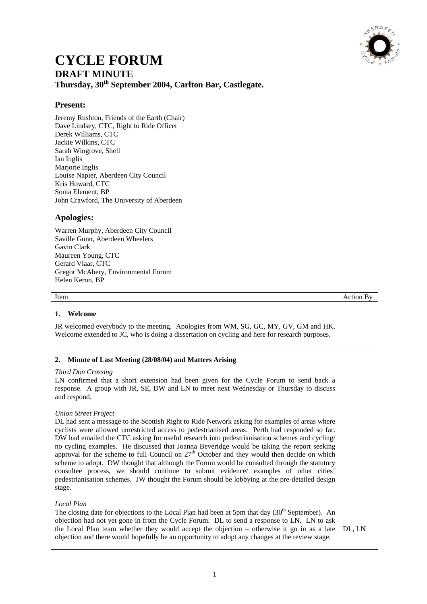

## **CYCLE FORUM DRAFT MINUTE Thursday, 30th September 2004, Carlton Bar, Castlegate.**

## **Present:**

Jeremy Rushton, Friends of the Earth (Chair) Dave Lindsey, CTC, Right to Ride Officer Derek Williams, CTC Jackie Wilkins, CTC Sarah Wingrove, Shell Ian Inglis Marjorie Inglis Louise Napier, Aberdeen City Council Kris Howard, CTC Sonia Element, BP John Crawford, The University of Aberdeen

## **Apologies:**

Warren Murphy, Aberdeen City Council Saville Gunn, Aberdeen Wheelers Gavin Clark Maureen Young, CTC Gerard Vlaar, CTC Gregor McAbery, Environmental Forum Helen Keron, BP

| Item                                                                                                                                                                                                                                                                                                                                                                                                                                                                                                                                                                                                                                                                                                                                                                                                                              | <b>Action By</b> |
|-----------------------------------------------------------------------------------------------------------------------------------------------------------------------------------------------------------------------------------------------------------------------------------------------------------------------------------------------------------------------------------------------------------------------------------------------------------------------------------------------------------------------------------------------------------------------------------------------------------------------------------------------------------------------------------------------------------------------------------------------------------------------------------------------------------------------------------|------------------|
| Welcome<br>1.<br>JR welcomed everybody to the meeting. Apologies from WM, SG, GC, MY, GV, GM and HK.<br>Welcome extended to JC, who is doing a dissertation on cycling and here for research purposes.                                                                                                                                                                                                                                                                                                                                                                                                                                                                                                                                                                                                                            |                  |
| Minute of Last Meeting (28/08/04) and Matters Arising<br>2.<br>Third Don Crossing<br>LN confirmed that a short extension had been given for the Cycle Forum to send back a<br>response. A group with JR, SE, DW and LN to meet next Wednesday or Thursday to discuss<br>and respond.                                                                                                                                                                                                                                                                                                                                                                                                                                                                                                                                              |                  |
| <b>Union Street Project</b><br>DL had sent a message to the Scottish Right to Ride Network asking for examples of areas where<br>cyclists were allowed unrestricted access to pedestrianised areas. Perth had responded so far.<br>DW had emailed the CTC asking for useful research into pedestrianisation schemes and cycling/<br>no cycling examples. He discussed that Joanna Beveridge would be taking the report seeking<br>approval for the scheme to full Council on $27th$ October and they would then decide on which<br>scheme to adopt. DW thought that although the Forum would be consulted through the statutory<br>consultee process, we should continue to submit evidence/ examples of other cities'<br>pedestrianisation schemes. JW thought the Forum should be lobbying at the pre-detailed design<br>stage. |                  |
| <b>Local Plan</b><br>The closing date for objections to the Local Plan had been at 5pm that day $(30th$ September). An<br>objection had not yet gone in from the Cycle Forum. DL to send a response to LN. LN to ask<br>the Local Plan team whether they would accept the objection – otherwise it go in as a late<br>objection and there would hopefully be an opportunity to adopt any changes at the review stage.                                                                                                                                                                                                                                                                                                                                                                                                             | DL, LN           |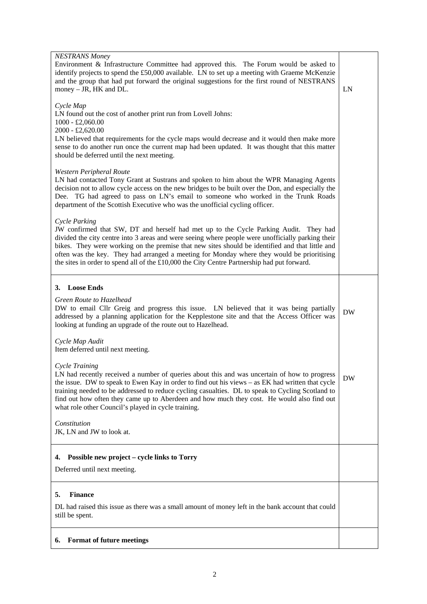| <b>NESTRANS Money</b><br>Environment & Infrastructure Committee had approved this. The Forum would be asked to<br>identify projects to spend the £50,000 available. LN to set up a meeting with Graeme McKenzie<br>and the group that had put forward the original suggestions for the first round of NESTRANS<br>money $-$ JR, HK and DL.                                                                                                                                                                 | LN        |
|------------------------------------------------------------------------------------------------------------------------------------------------------------------------------------------------------------------------------------------------------------------------------------------------------------------------------------------------------------------------------------------------------------------------------------------------------------------------------------------------------------|-----------|
| Cycle Map<br>LN found out the cost of another print run from Lovell Johns:<br>$1000 - £2,060.00$<br>2000 - £2,620.00                                                                                                                                                                                                                                                                                                                                                                                       |           |
| LN believed that requirements for the cycle maps would decrease and it would then make more<br>sense to do another run once the current map had been updated. It was thought that this matter<br>should be deferred until the next meeting.                                                                                                                                                                                                                                                                |           |
| Western Peripheral Route<br>LN had contacted Tony Grant at Sustrans and spoken to him about the WPR Managing Agents<br>decision not to allow cycle access on the new bridges to be built over the Don, and especially the<br>Dee. TG had agreed to pass on LN's email to someone who worked in the Trunk Roads<br>department of the Scottish Executive who was the unofficial cycling officer.                                                                                                             |           |
| Cycle Parking<br>JW confirmed that SW, DT and herself had met up to the Cycle Parking Audit. They had<br>divided the city centre into 3 areas and were seeing where people were unofficially parking their<br>bikes. They were working on the premise that new sites should be identified and that little and<br>often was the key. They had arranged a meeting for Monday where they would be prioritising<br>the sites in order to spend all of the £10,000 the City Centre Partnership had put forward. |           |
| 3. Loose Ends                                                                                                                                                                                                                                                                                                                                                                                                                                                                                              |           |
| Green Route to Hazelhead<br>DW to email Cllr Greig and progress this issue. LN believed that it was being partially<br>addressed by a planning application for the Kepplestone site and that the Access Officer was<br>looking at funding an upgrade of the route out to Hazelhead.                                                                                                                                                                                                                        | <b>DW</b> |
| Cycle Map Audit<br>Item deferred until next meeting.                                                                                                                                                                                                                                                                                                                                                                                                                                                       |           |
| Cycle Training<br>LN had recently received a number of queries about this and was uncertain of how to progress<br>the issue. DW to speak to Ewen Kay in order to find out his views – as EK had written that cycle<br>training needed to be addressed to reduce cycling casualties. DL to speak to Cycling Scotland to<br>find out how often they came up to Aberdeen and how much they cost. He would also find out<br>what role other Council's played in cycle training.                                | DW        |
| Constitution<br>JK, LN and JW to look at.                                                                                                                                                                                                                                                                                                                                                                                                                                                                  |           |
| Possible new project – cycle links to Torry<br>4.                                                                                                                                                                                                                                                                                                                                                                                                                                                          |           |
| Deferred until next meeting.                                                                                                                                                                                                                                                                                                                                                                                                                                                                               |           |
| <b>Finance</b><br>5.                                                                                                                                                                                                                                                                                                                                                                                                                                                                                       |           |
| DL had raised this issue as there was a small amount of money left in the bank account that could<br>still be spent.                                                                                                                                                                                                                                                                                                                                                                                       |           |
| <b>Format of future meetings</b><br>6.                                                                                                                                                                                                                                                                                                                                                                                                                                                                     |           |